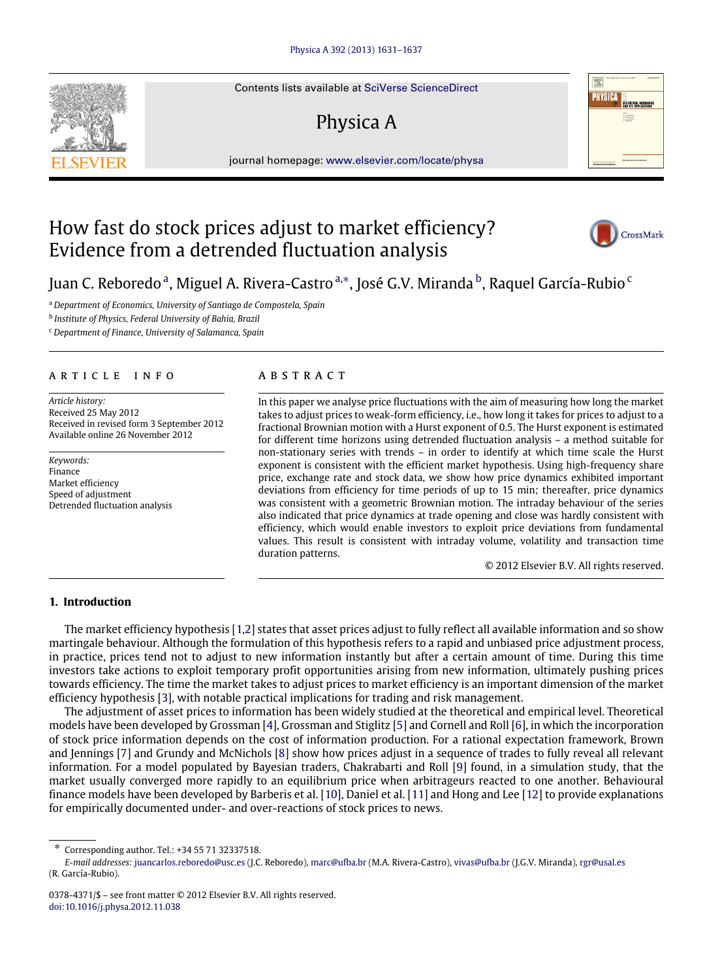Contents lists available at [SciVerse ScienceDirect](http://www.elsevier.com/locate/physa)

# Physica A

journal homepage: [www.elsevier.com/locate/physa](http://www.elsevier.com/locate/physa)

# How fast do stock prices adjust to market efficiency? Evidence from a detrended fluctuation analysis



<span id="page-0-0"></span>

<span id="page-0-2"></span>b *Institute of Physics, Federal University of Bahia, Brazil*

<span id="page-0-3"></span><sup>c</sup> *Department of Finance, University of Salamanca, Spain*

### a r t i c l e i n f o

*Article history:* Received 25 May 2012 Received in revised form 3 September 2012 Available online 26 November 2012

*Keywords:* Finance Market efficiency Speed of adjustment Detrended fluctuation analysis

## a b s t r a c t

In this paper we analyse price fluctuations with the aim of measuring how long the market takes to adjust prices to weak-form efficiency, i.e., how long it takes for prices to adjust to a fractional Brownian motion with a Hurst exponent of 0.5. The Hurst exponent is estimated for different time horizons using detrended fluctuation analysis – a method suitable for non-stationary series with trends – in order to identify at which time scale the Hurst exponent is consistent with the efficient market hypothesis. Using high-frequency share price, exchange rate and stock data, we show how price dynamics exhibited important deviations from efficiency for time periods of up to 15 min; thereafter, price dynamics was consistent with a geometric Brownian motion. The intraday behaviour of the series also indicated that price dynamics at trade opening and close was hardly consistent with efficiency, which would enable investors to exploit price deviations from fundamental values. This result is consistent with intraday volume, volatility and transaction time duration patterns.

© 2012 Elsevier B.V. All rights reserved.

### **1. Introduction**

The market efficiency hypothesis [\[1,](#page--1-0)[2\]](#page--1-1) states that asset prices adjust to fully reflect all available information and so show martingale behaviour. Although the formulation of this hypothesis refers to a rapid and unbiased price adjustment process, in practice, prices tend not to adjust to new information instantly but after a certain amount of time. During this time investors take actions to exploit temporary profit opportunities arising from new information, ultimately pushing prices towards efficiency. The time the market takes to adjust prices to market efficiency is an important dimension of the market efficiency hypothesis [\[3\]](#page--1-2), with notable practical implications for trading and risk management.

The adjustment of asset prices to information has been widely studied at the theoretical and empirical level. Theoretical models have been developed by Grossman [\[4\]](#page--1-3), Grossman and Stiglitz [\[5\]](#page--1-4) and Cornell and Roll [\[6\]](#page--1-5), in which the incorporation of stock price information depends on the cost of information production. For a rational expectation framework, Brown and Jennings [\[7\]](#page--1-6) and Grundy and McNichols [\[8\]](#page--1-7) show how prices adjust in a sequence of trades to fully reveal all relevant information. For a model populated by Bayesian traders, Chakrabarti and Roll [\[9\]](#page--1-8) found, in a simulation study, that the market usually converged more rapidly to an equilibrium price when arbitrageurs reacted to one another. Behavioural finance models have been developed by Barberis et al. [\[10\]](#page--1-9), Daniel et al. [\[11\]](#page--1-10) and Hong and Lee [\[12\]](#page--1-11) to provide explanations for empirically documented under- and over-reactions of stock prices to news.







<span id="page-0-1"></span><sup>∗</sup> Corresponding author. Tel.: +34 55 71 32337518.

*E-mail addresses:* [juancarlos.reboredo@usc.es](mailto:juancarlos.reboredo@usc.es) (J.C. Reboredo), [marc@ufba.br](mailto:marc@ufba.br) (M.A. Rivera-Castro), [vivas@ufba.br](mailto:vivas@ufba.br) (J.G.V. Miranda), [rgr@usal.es](mailto:rgr@usal.es) (R. García-Rubio).

<sup>0378-4371/\$ –</sup> see front matter © 2012 Elsevier B.V. All rights reserved. [doi:10.1016/j.physa.2012.11.038](http://dx.doi.org/10.1016/j.physa.2012.11.038)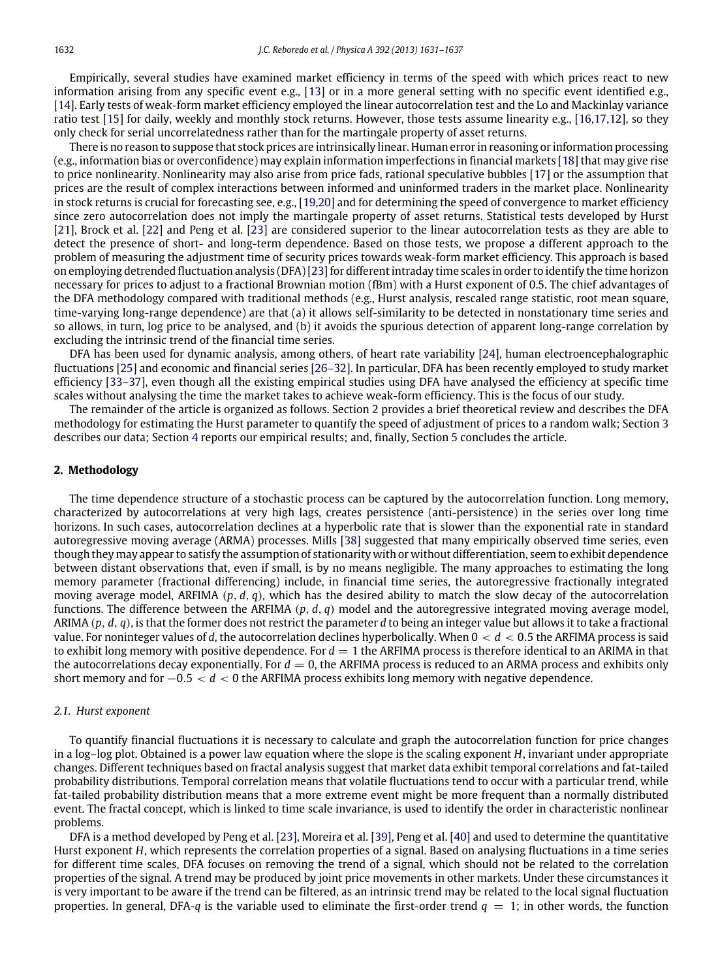Empirically, several studies have examined market efficiency in terms of the speed with which prices react to new information arising from any specific event e.g., [\[13\]](#page--1-12) or in a more general setting with no specific event identified e.g., [\[14\]](#page--1-13). Early tests of weak-form market efficiency employed the linear autocorrelation test and the Lo and Mackinlay variance ratio test [\[15\]](#page--1-14) for daily, weekly and monthly stock returns. However, those tests assume linearity e.g., [\[16,](#page--1-15)[17](#page--1-16)[,12\]](#page--1-11), so they only check for serial uncorrelatedness rather than for the martingale property of asset returns.

There is no reason to suppose that stock prices are intrinsically linear. Human error in reasoning or information processing (e.g., information bias or overconfidence) may explain information imperfections in financial markets [\[18\]](#page--1-17) that may give rise to price nonlinearity. Nonlinearity may also arise from price fads, rational speculative bubbles [\[17\]](#page--1-16) or the assumption that prices are the result of complex interactions between informed and uninformed traders in the market place. Nonlinearity in stock returns is crucial for forecasting see, e.g., [\[19](#page--1-18)[,20\]](#page--1-19) and for determining the speed of convergence to market efficiency since zero autocorrelation does not imply the martingale property of asset returns. Statistical tests developed by Hurst [\[21\]](#page--1-20), Brock et al. [\[22\]](#page--1-21) and Peng et al. [\[23\]](#page--1-22) are considered superior to the linear autocorrelation tests as they are able to detect the presence of short- and long-term dependence. Based on those tests, we propose a different approach to the problem of measuring the adjustment time of security prices towards weak-form market efficiency. This approach is based on employing detrended fluctuation analysis (DFA) [\[23\]](#page--1-22) for different intraday time scales in order to identify the time horizon necessary for prices to adjust to a fractional Brownian motion (fBm) with a Hurst exponent of 0.5. The chief advantages of the DFA methodology compared with traditional methods (e.g., Hurst analysis, rescaled range statistic, root mean square, time-varying long-range dependence) are that (a) it allows self-similarity to be detected in nonstationary time series and so allows, in turn, log price to be analysed, and (b) it avoids the spurious detection of apparent long-range correlation by excluding the intrinsic trend of the financial time series.

DFA has been used for dynamic analysis, among others, of heart rate variability [\[24\]](#page--1-23), human electroencephalographic fluctuations [\[25\]](#page--1-24) and economic and financial series [\[26–32\]](#page--1-25). In particular, DFA has been recently employed to study market efficiency [\[33–37\]](#page--1-26), even though all the existing empirical studies using DFA have analysed the efficiency at specific time scales without analysing the time the market takes to achieve weak-form efficiency. This is the focus of our study.

The remainder of the article is organized as follows. Section [2](#page-1-0) provides a brief theoretical review and describes the DFA methodology for estimating the Hurst parameter to quantify the speed of adjustment of prices to a random walk; Section [3](#page--1-27) describes our data; Section [4](#page--1-28) reports our empirical results; and, finally, Section [5](#page--1-29) concludes the article.

#### <span id="page-1-0"></span>**2. Methodology**

The time dependence structure of a stochastic process can be captured by the autocorrelation function. Long memory, characterized by autocorrelations at very high lags, creates persistence (anti-persistence) in the series over long time horizons. In such cases, autocorrelation declines at a hyperbolic rate that is slower than the exponential rate in standard autoregressive moving average (ARMA) processes. Mills [\[38\]](#page--1-30) suggested that many empirically observed time series, even though they may appear to satisfy the assumption of stationarity with or without differentiation, seem to exhibit dependence between distant observations that, even if small, is by no means negligible. The many approaches to estimating the long memory parameter (fractional differencing) include, in financial time series, the autoregressive fractionally integrated moving average model, ARFIMA (*p*, *d*, *q*), which has the desired ability to match the slow decay of the autocorrelation functions. The difference between the ARFIMA (*p*, *d*, *q*) model and the autoregressive integrated moving average model, ARIMA (*p*, *d*, *q*), is that the former does not restrict the parameter *d* to being an integer value but allows it to take a fractional value. For noninteger values of *d*, the autocorrelation declines hyperbolically. When 0 < *d* < 0.5 the ARFIMA process is said to exhibit long memory with positive dependence. For  $d = 1$  the ARFIMA process is therefore identical to an ARIMA in that the autocorrelations decay exponentially. For  $d = 0$ , the ARFIMA process is reduced to an ARMA process and exhibits only short memory and for −0.5 < *d* < 0 the ARFIMA process exhibits long memory with negative dependence.

#### *2.1. Hurst exponent*

To quantify financial fluctuations it is necessary to calculate and graph the autocorrelation function for price changes in a log–log plot. Obtained is a power law equation where the slope is the scaling exponent *H*, invariant under appropriate changes. Different techniques based on fractal analysis suggest that market data exhibit temporal correlations and fat-tailed probability distributions. Temporal correlation means that volatile fluctuations tend to occur with a particular trend, while fat-tailed probability distribution means that a more extreme event might be more frequent than a normally distributed event. The fractal concept, which is linked to time scale invariance, is used to identify the order in characteristic nonlinear problems.

DFA is a method developed by Peng et al. [\[23\]](#page--1-22), Moreira et al. [\[39\]](#page--1-31), Peng et al. [\[40\]](#page--1-32) and used to determine the quantitative Hurst exponent *H*, which represents the correlation properties of a signal. Based on analysing fluctuations in a time series for different time scales, DFA focuses on removing the trend of a signal, which should not be related to the correlation properties of the signal. A trend may be produced by joint price movements in other markets. Under these circumstances it is very important to be aware if the trend can be filtered, as an intrinsic trend may be related to the local signal fluctuation properties. In general, DFA-*q* is the variable used to eliminate the first-order trend *q* = 1; in other words, the function